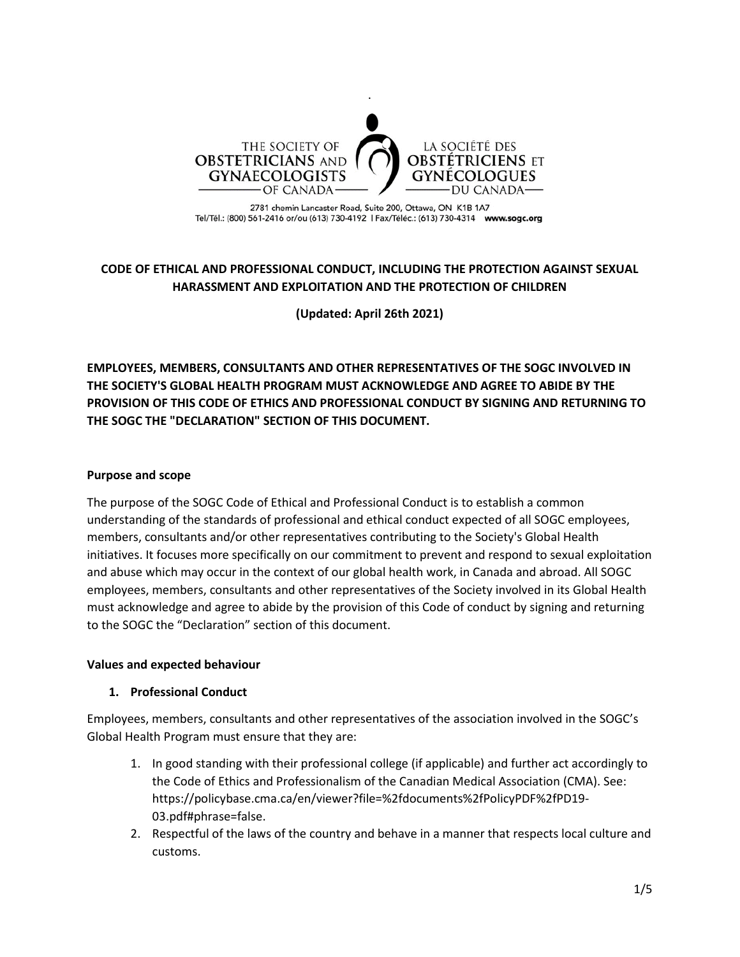

2781 chemin Lancaster Road, Suite 200, Ottawa, ON K1B 1A7 Tel/Tél.: (800) 561-2416 or/ou (613) 730-4192 | Fax/Téléc.: (613) 730-4314 www.sogc.org

# **CODE OF ETHICAL AND PROFESSIONAL CONDUCT, INCLUDING THE PROTECTION AGAINST SEXUAL HARASSMENT AND EXPLOITATION AND THE PROTECTION OF CHILDREN**

**(Updated: April 26th 2021)**

**EMPLOYEES, MEMBERS, CONSULTANTS AND OTHER REPRESENTATIVES OF THE SOGC INVOLVED IN THE SOCIETY'S GLOBAL HEALTH PROGRAM MUST ACKNOWLEDGE AND AGREE TO ABIDE BY THE PROVISION OF THIS CODE OF ETHICS AND PROFESSIONAL CONDUCT BY SIGNING AND RETURNING TO THE SOGC THE "DECLARATION" SECTION OF THIS DOCUMENT.**

#### **Purpose and scope**

The purpose of the SOGC Code of Ethical and Professional Conduct is to establish a common understanding of the standards of professional and ethical conduct expected of all SOGC employees, members, consultants and/or other representatives contributing to the Society's Global Health initiatives. It focuses more specifically on our commitment to prevent and respond to sexual exploitation and abuse which may occur in the context of our global health work, in Canada and abroad. All SOGC employees, members, consultants and other representatives of the Society involved in its Global Health must acknowledge and agree to abide by the provision of this Code of conduct by signing and returning to the SOGC the "Declaration" section of this document.

#### **Values and expected behaviour**

## **1. Professional Conduct**

Employees, members, consultants and other representatives of the association involved in the SOGC's Global Health Program must ensure that they are:

- 1. In good standing with their professional college (if applicable) and further act accordingly to the Code of Ethics and Professionalism of the Canadian Medical Association (CMA). See: https://policybase.cma.ca/en/viewer?file=%2fdocuments%2fPolicyPDF%2fPD19- 03.pdf#phrase=false.
- 2. Respectful of the laws of the country and behave in a manner that respects local culture and customs.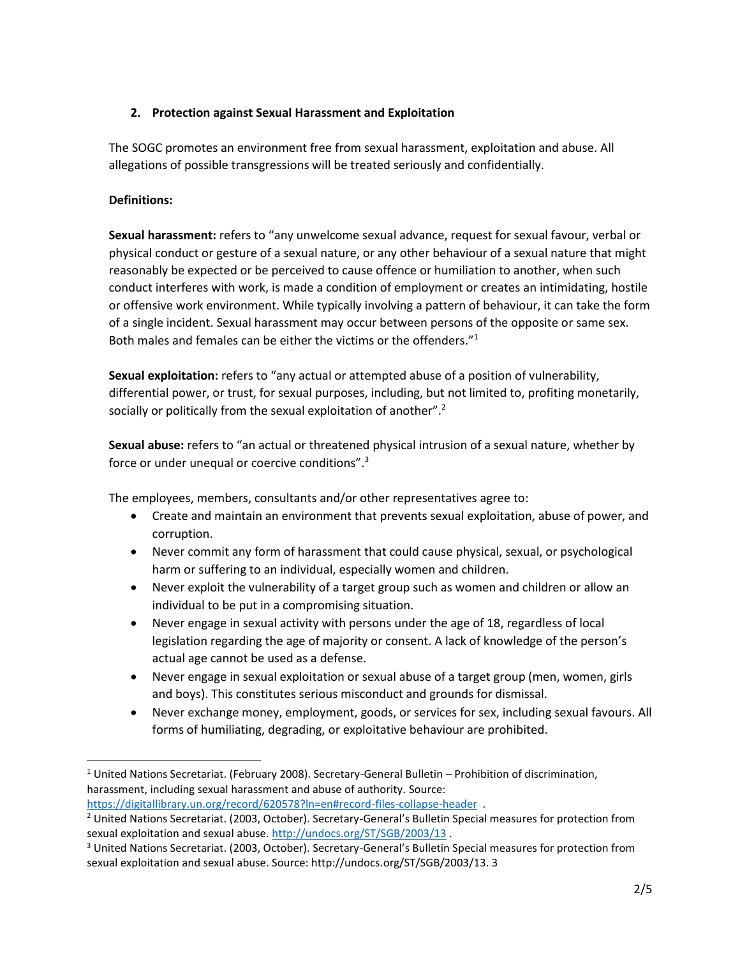## **2. Protection against Sexual Harassment and Exploitation**

The SOGC promotes an environment free from sexual harassment, exploitation and abuse. All allegations of possible transgressions will be treated seriously and confidentially.

## **Definitions:**

 $\overline{\phantom{a}}$ 

**Sexual harassment:** refers to "any unwelcome sexual advance, request for sexual favour, verbal or physical conduct or gesture of a sexual nature, or any other behaviour of a sexual nature that might reasonably be expected or be perceived to cause offence or humiliation to another, when such conduct interferes with work, is made a condition of employment or creates an intimidating, hostile or offensive work environment. While typically involving a pattern of behaviour, it can take the form of a single incident. Sexual harassment may occur between persons of the opposite or same sex. Both males and females can be either the victims or the offenders."<sup>1</sup>

**Sexual exploitation:** refers to "any actual or attempted abuse of a position of vulnerability, differential power, or trust, for sexual purposes, including, but not limited to, profiting monetarily, socially or politically from the sexual exploitation of another".<sup>2</sup>

**Sexual abuse:** refers to "an actual or threatened physical intrusion of a sexual nature, whether by force or under unequal or coercive conditions".<sup>3</sup>

The employees, members, consultants and/or other representatives agree to:

- Create and maintain an environment that prevents sexual exploitation, abuse of power, and corruption.
- Never commit any form of harassment that could cause physical, sexual, or psychological harm or suffering to an individual, especially women and children.
- Never exploit the vulnerability of a target group such as women and children or allow an individual to be put in a compromising situation.
- Never engage in sexual activity with persons under the age of 18, regardless of local legislation regarding the age of majority or consent. A lack of knowledge of the person's actual age cannot be used as a defense.
- Never engage in sexual exploitation or sexual abuse of a target group (men, women, girls and boys). This constitutes serious misconduct and grounds for dismissal.
- Never exchange money, employment, goods, or services for sex, including sexual favours. All forms of humiliating, degrading, or exploitative behaviour are prohibited.

 $1$  United Nations Secretariat. (February 2008). Secretary-General Bulletin – Prohibition of discrimination, harassment, including sexual harassment and abuse of authority. Source: <https://digitallibrary.un.org/record/620578?ln=en#record-files-collapse-header> .

<sup>2</sup> United Nations Secretariat. (2003, October). Secretary-General's Bulletin Special measures for protection from sexual exploitation and sexual abuse.<http://undocs.org/ST/SGB/2003/13> .

<sup>3</sup> United Nations Secretariat. (2003, October). Secretary-General's Bulletin Special measures for protection from sexual exploitation and sexual abuse. Source: http://undocs.org/ST/SGB/2003/13. 3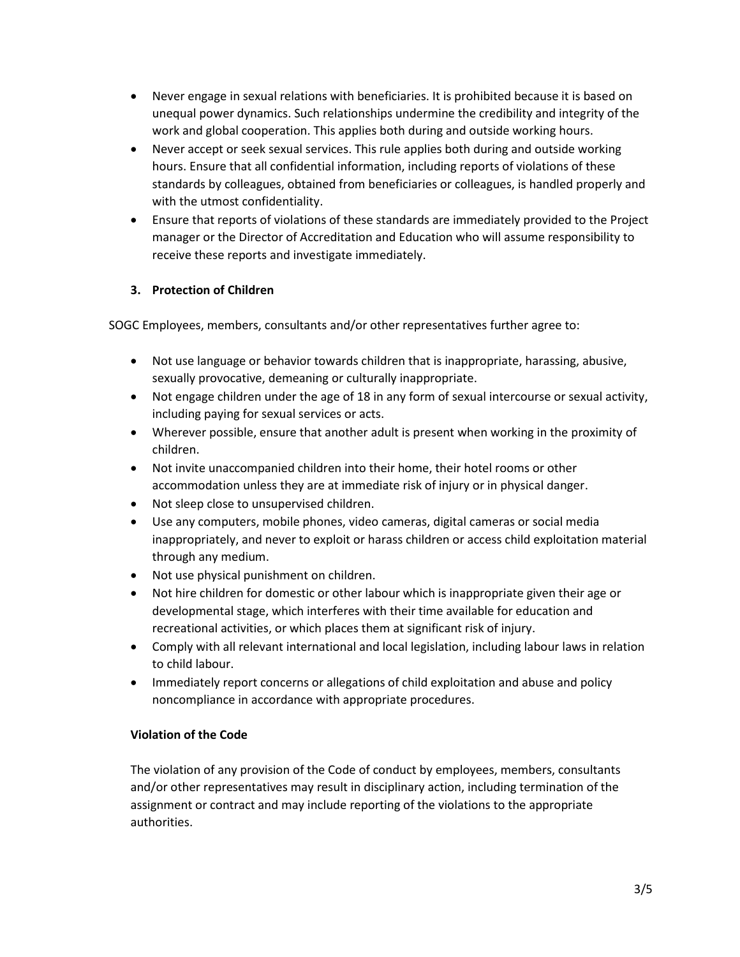- Never engage in sexual relations with beneficiaries. It is prohibited because it is based on unequal power dynamics. Such relationships undermine the credibility and integrity of the work and global cooperation. This applies both during and outside working hours.
- Never accept or seek sexual services. This rule applies both during and outside working hours. Ensure that all confidential information, including reports of violations of these standards by colleagues, obtained from beneficiaries or colleagues, is handled properly and with the utmost confidentiality.
- Ensure that reports of violations of these standards are immediately provided to the Project manager or the Director of Accreditation and Education who will assume responsibility to receive these reports and investigate immediately.

## **3. Protection of Children**

SOGC Employees, members, consultants and/or other representatives further agree to:

- Not use language or behavior towards children that is inappropriate, harassing, abusive, sexually provocative, demeaning or culturally inappropriate.
- Not engage children under the age of 18 in any form of sexual intercourse or sexual activity, including paying for sexual services or acts.
- Wherever possible, ensure that another adult is present when working in the proximity of children.
- Not invite unaccompanied children into their home, their hotel rooms or other accommodation unless they are at immediate risk of injury or in physical danger.
- Not sleep close to unsupervised children.
- Use any computers, mobile phones, video cameras, digital cameras or social media inappropriately, and never to exploit or harass children or access child exploitation material through any medium.
- Not use physical punishment on children.
- Not hire children for domestic or other labour which is inappropriate given their age or developmental stage, which interferes with their time available for education and recreational activities, or which places them at significant risk of injury.
- Comply with all relevant international and local legislation, including labour laws in relation to child labour.
- Immediately report concerns or allegations of child exploitation and abuse and policy noncompliance in accordance with appropriate procedures.

## **Violation of the Code**

The violation of any provision of the Code of conduct by employees, members, consultants and/or other representatives may result in disciplinary action, including termination of the assignment or contract and may include reporting of the violations to the appropriate authorities.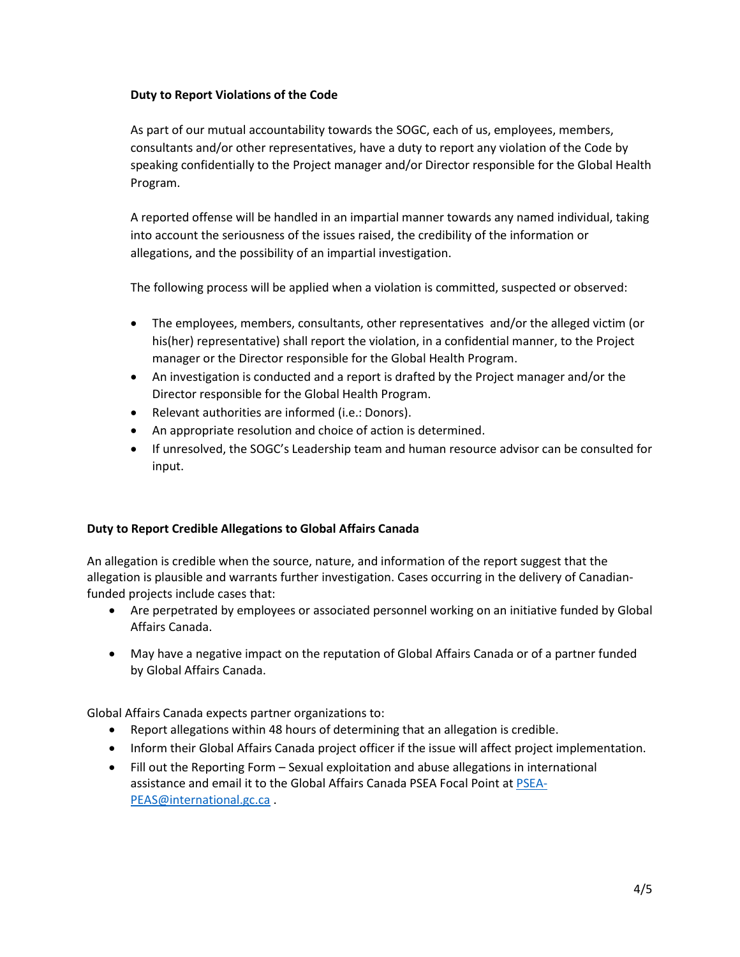#### **Duty to Report Violations of the Code**

As part of our mutual accountability towards the SOGC, each of us, employees, members, consultants and/or other representatives, have a duty to report any violation of the Code by speaking confidentially to the Project manager and/or Director responsible for the Global Health Program.

A reported offense will be handled in an impartial manner towards any named individual, taking into account the seriousness of the issues raised, the credibility of the information or allegations, and the possibility of an impartial investigation.

The following process will be applied when a violation is committed, suspected or observed:

- The employees, members, consultants, other representatives and/or the alleged victim (or his(her) representative) shall report the violation, in a confidential manner, to the Project manager or the Director responsible for the Global Health Program.
- An investigation is conducted and a report is drafted by the Project manager and/or the Director responsible for the Global Health Program.
- Relevant authorities are informed (i.e.: Donors).
- An appropriate resolution and choice of action is determined.
- If unresolved, the SOGC's Leadership team and human resource advisor can be consulted for input.

## **Duty to Report Credible Allegations to Global Affairs Canada**

An allegation is credible when the source, nature, and information of the report suggest that the allegation is plausible and warrants further investigation. Cases occurring in the delivery of Canadianfunded projects include cases that:

- Are perpetrated by employees or associated personnel working on an initiative funded by Global Affairs Canada.
- May have a negative impact on the reputation of Global Affairs Canada or of a partner funded by Global Affairs Canada.

Global Affairs Canada expects partner organizations to:

- Report allegations within 48 hours of determining that an allegation is credible.
- Inform their Global Affairs Canada project officer if the issue will affect project implementation.
- Fill out the Reporting Form Sexual exploitation and abuse allegations in international assistance and email it to the Global Affairs Canada PSEA Focal Point at [PSEA-](mailto:PSEA-PEAS@international.gc.ca)[PEAS@international.gc.ca](mailto:PSEA-PEAS@international.gc.ca) .